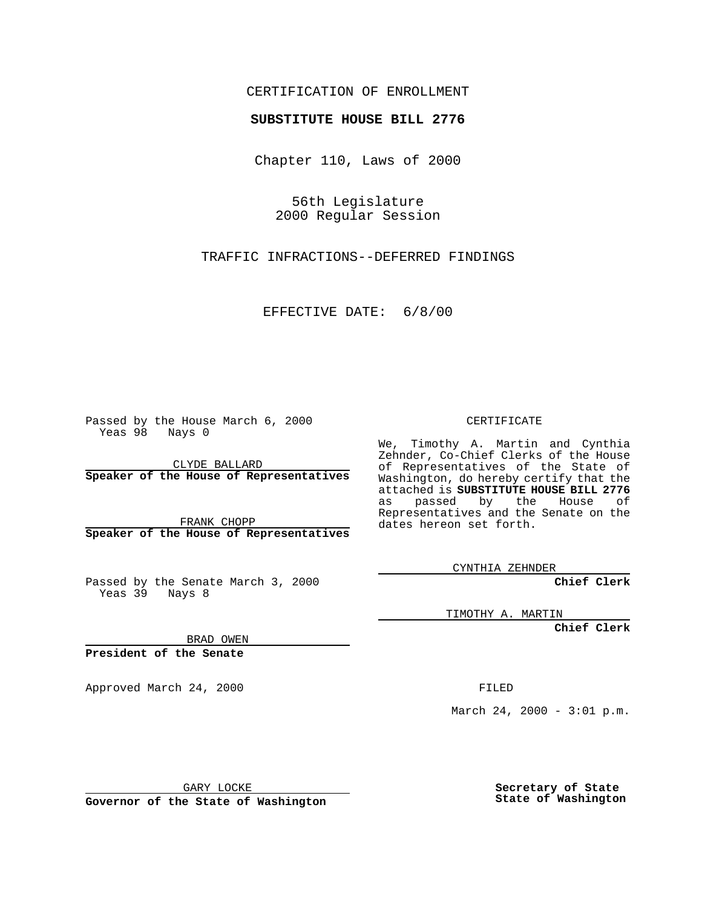## CERTIFICATION OF ENROLLMENT

## **SUBSTITUTE HOUSE BILL 2776**

Chapter 110, Laws of 2000

56th Legislature 2000 Regular Session

TRAFFIC INFRACTIONS--DEFERRED FINDINGS

EFFECTIVE DATE: 6/8/00

Passed by the House March 6, 2000 Yeas 98 Nays 0

CLYDE BALLARD **Speaker of the House of Representatives**

FRANK CHOPP **Speaker of the House of Representatives**

Passed by the Senate March 3, 2000 Yeas 39 Nays 8

CERTIFICATE

We, Timothy A. Martin and Cynthia Zehnder, Co-Chief Clerks of the House of Representatives of the State of Washington, do hereby certify that the attached is **SUBSTITUTE HOUSE BILL 2776**<br>as passed by the House of as passed by the House of Representatives and the Senate on the dates hereon set forth.

CYNTHIA ZEHNDER

**Chief Clerk**

TIMOTHY A. MARTIN

**Chief Clerk**

BRAD OWEN

**President of the Senate**

Approved March 24, 2000 FILED

March 24, 2000 - 3:01 p.m.

GARY LOCKE

**Governor of the State of Washington**

**Secretary of State State of Washington**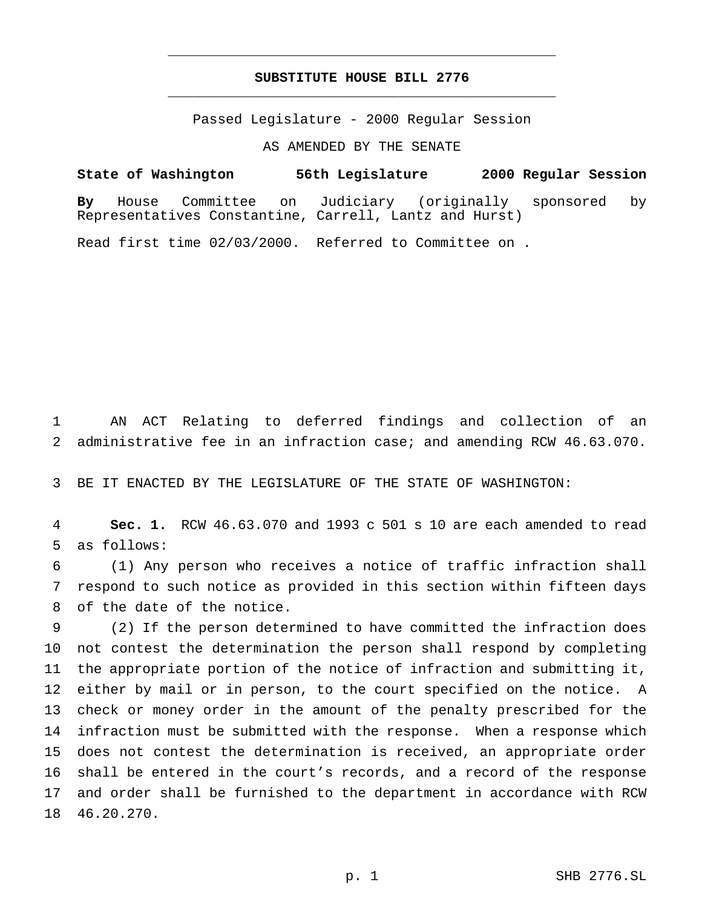## **SUBSTITUTE HOUSE BILL 2776** \_\_\_\_\_\_\_\_\_\_\_\_\_\_\_\_\_\_\_\_\_\_\_\_\_\_\_\_\_\_\_\_\_\_\_\_\_\_\_\_\_\_\_\_\_\_\_

\_\_\_\_\_\_\_\_\_\_\_\_\_\_\_\_\_\_\_\_\_\_\_\_\_\_\_\_\_\_\_\_\_\_\_\_\_\_\_\_\_\_\_\_\_\_\_

Passed Legislature - 2000 Regular Session

AS AMENDED BY THE SENATE

**State of Washington 56th Legislature 2000 Regular Session By** House Committee on Judiciary (originally sponsored by Representatives Constantine, Carrell, Lantz and Hurst)

Read first time 02/03/2000. Referred to Committee on .

 AN ACT Relating to deferred findings and collection of an administrative fee in an infraction case; and amending RCW 46.63.070.

BE IT ENACTED BY THE LEGISLATURE OF THE STATE OF WASHINGTON:

 **Sec. 1.** RCW 46.63.070 and 1993 c 501 s 10 are each amended to read as follows:

 (1) Any person who receives a notice of traffic infraction shall respond to such notice as provided in this section within fifteen days of the date of the notice.

 (2) If the person determined to have committed the infraction does not contest the determination the person shall respond by completing the appropriate portion of the notice of infraction and submitting it, either by mail or in person, to the court specified on the notice. A check or money order in the amount of the penalty prescribed for the infraction must be submitted with the response. When a response which does not contest the determination is received, an appropriate order shall be entered in the court's records, and a record of the response and order shall be furnished to the department in accordance with RCW 46.20.270.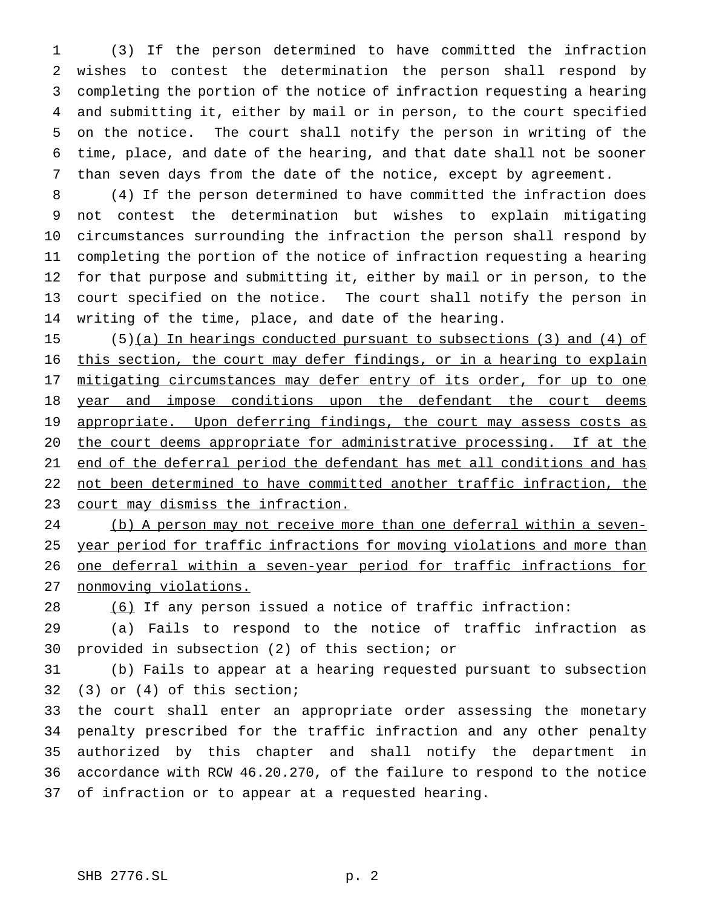(3) If the person determined to have committed the infraction wishes to contest the determination the person shall respond by completing the portion of the notice of infraction requesting a hearing and submitting it, either by mail or in person, to the court specified on the notice. The court shall notify the person in writing of the time, place, and date of the hearing, and that date shall not be sooner than seven days from the date of the notice, except by agreement.

 (4) If the person determined to have committed the infraction does not contest the determination but wishes to explain mitigating circumstances surrounding the infraction the person shall respond by completing the portion of the notice of infraction requesting a hearing for that purpose and submitting it, either by mail or in person, to the court specified on the notice. The court shall notify the person in writing of the time, place, and date of the hearing.

 (5)(a) In hearings conducted pursuant to subsections (3) and (4) of this section, the court may defer findings, or in a hearing to explain 17 mitigating circumstances may defer entry of its order, for up to one 18 year and impose conditions upon the defendant the court deems 19 appropriate. Upon deferring findings, the court may assess costs as the court deems appropriate for administrative processing. If at the 21 end of the deferral period the defendant has met all conditions and has not been determined to have committed another traffic infraction, the 23 court may dismiss the infraction.

 (b) A person may not receive more than one deferral within a seven-25 year period for traffic infractions for moving violations and more than one deferral within a seven-year period for traffic infractions for 27 nonmoving violations.

(6) If any person issued a notice of traffic infraction:

 (a) Fails to respond to the notice of traffic infraction as provided in subsection (2) of this section; or

 (b) Fails to appear at a hearing requested pursuant to subsection (3) or (4) of this section;

 the court shall enter an appropriate order assessing the monetary penalty prescribed for the traffic infraction and any other penalty authorized by this chapter and shall notify the department in accordance with RCW 46.20.270, of the failure to respond to the notice of infraction or to appear at a requested hearing.